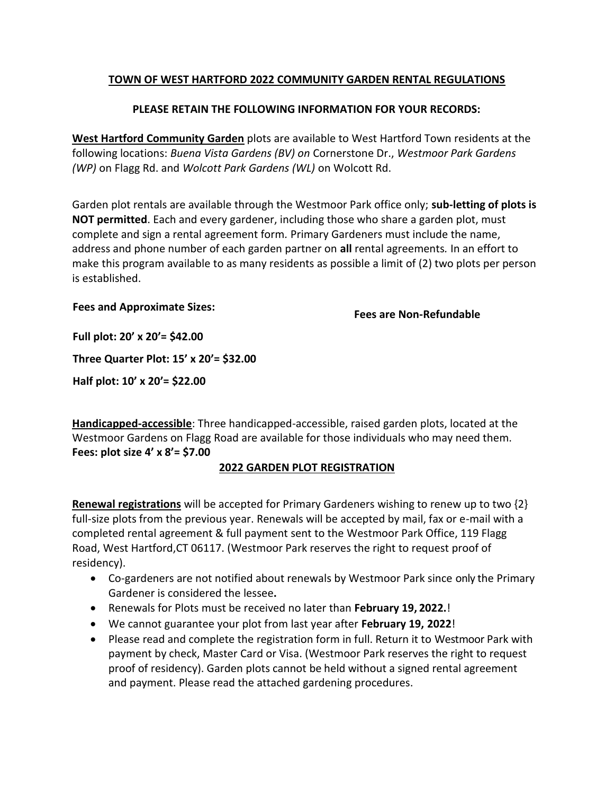## **TOWN OF WEST HARTFORD 2022 COMMUNITY GARDEN RENTAL REGULATIONS**

### **PLEASE RETAIN THE FOLLOWING INFORMATION FOR YOUR RECORDS:**

**West Hartford Community Garden** plots are available to West Hartford Town residents at the following locations: *Buena Vista Gardens (BV) on* Cornerstone Dr., *Westmoor Park Gardens (WP)* on Flagg Rd. and *Wolcott Park Gardens (WL)* on Wolcott Rd.

Garden plot rentals are available through the Westmoor Park office only; **sub-letting of plots is NOT permitted**. Each and every gardener, including those who share a garden plot, must complete and sign a rental agreement form*.* Primary Gardeners must include the name, address and phone number of each garden partner on **all** rental agreements*.* In an effort to make this program available to as many residents as possible a limit of (2) two plots per person is established.

#### **Fees and Approximate Sizes:**

**Fees are Non-Refundable**

**Full plot: 20' x 20'= \$42.00**

**Three Quarter Plot: 15' x 20'= \$32.00**

**Half plot: 10' x 20'= \$22.00**

**Handicapped-accessible**: Three handicapped-accessible, raised garden plots, located at the Westmoor Gardens on Flagg Road are available for those individuals who may need them. **Fees: plot size 4' x 8'= \$7.00**

# **2022 GARDEN PLOT REGISTRATION**

**Renewal registrations** will be accepted for Primary Gardeners wishing to renew up to two {2} full-size plots from the previous year. Renewals will be accepted by mail, fax or e-mail with a completed rental agreement & full payment sent to the Westmoor Park Office, 119 Flagg Road, West Hartford,CT 06117. (Westmoor Park reserves the right to request proof of residency).

- Co-gardeners are not notified about renewals by Westmoor Park since only the Primary Gardener is considered the lessee**.**
- Renewals for Plots must be received no later than **February 19, 2022.**!
- We cannot guarantee your plot from last year after **February 19, 2022**!
- Please read and complete the registration form in full. Return it to Westmoor Park with payment by check, Master Card or Visa. (Westmoor Park reserves the right to request proof of residency). Garden plots cannot be held without a signed rental agreement and payment. Please read the attached gardening procedures.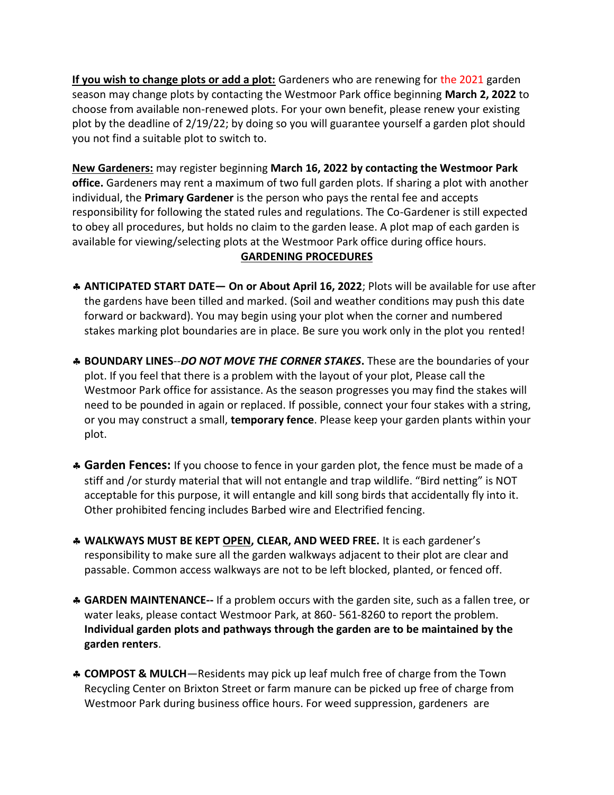**If you wish to change plots or add a plot:** Gardeners who are renewing for the 2021 garden season may change plots by contacting the Westmoor Park office beginning **March 2, 2022** to choose from available non-renewed plots. For your own benefit, please renew your existing plot by the deadline of 2/19/22; by doing so you will guarantee yourself a garden plot should you not find a suitable plot to switch to.

**New Gardeners:** may register beginning **March 16, 2022 by contacting the Westmoor Park office.** Gardeners may rent a maximum of two full garden plots. If sharing a plot with another individual, the **Primary Gardener** is the person who pays the rental fee and accepts responsibility for following the stated rules and regulations. The Co-Gardener is still expected to obey all procedures, but holds no claim to the garden lease. A plot map of each garden is available for viewing/selecting plots at the Westmoor Park office during office hours.

## **GARDENING PROCEDURES**

- **ANTICIPATED START DATE— On or About April 16, 2022**; Plots will be available for use after the gardens have been tilled and marked. (Soil and weather conditions may push this date forward or backward). You may begin using your plot when the corner and numbered stakes marking plot boundaries are in place. Be sure you work only in the plot you rented!
- **BOUNDARY LINES**--*DO NOT MOVE THE CORNER STAKES***.** These are the boundaries of your plot. If you feel that there is a problem with the layout of your plot, Please call the Westmoor Park office for assistance. As the season progresses you may find the stakes will need to be pounded in again or replaced. If possible, connect your four stakes with a string, or you may construct a small, **temporary fence**. Please keep your garden plants within your plot.
- **Garden Fences:** If you choose to fence in your garden plot, the fence must be made of a stiff and /or sturdy material that will not entangle and trap wildlife. "Bird netting" is NOT acceptable for this purpose, it will entangle and kill song birds that accidentally fly into it. Other prohibited fencing includes Barbed wire and Electrified fencing.
- **WALKWAYS MUST BE KEPT OPEN, CLEAR, AND WEED FREE.** It is each gardener's responsibility to make sure all the garden walkways adjacent to their plot are clear and passable. Common access walkways are not to be left blocked, planted, or fenced off.
- **GARDEN MAINTENANCE--** If a problem occurs with the garden site, such as a fallen tree, or water leaks, please contact Westmoor Park, at 860- 561-8260 to report the problem. **Individual garden plots and pathways through the garden are to be maintained by the garden renters**.
- **COMPOST & MULCH**—Residents may pick up leaf mulch free of charge from the Town Recycling Center on Brixton Street or farm manure can be picked up free of charge from Westmoor Park during business office hours. For weed suppression, gardeners are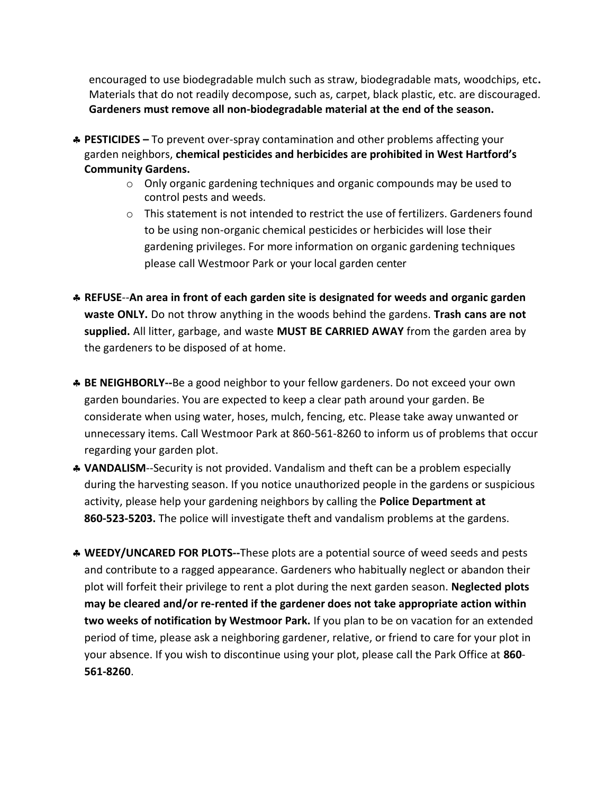encouraged to use biodegradable mulch such as straw, biodegradable mats, woodchips, etc**.**  Materials that do not readily decompose, such as, carpet, black plastic, etc. are discouraged. **Gardeners must remove all non-biodegradable material at the end of the season.**

- **PESTICIDES –** To prevent over-spray contamination and other problems affecting your garden neighbors, **chemical pesticides and herbicides are prohibited in West Hartford's Community Gardens.**
	- o Only organic gardening techniques and organic compounds may be used to control pests and weeds.
	- o This statement is not intended to restrict the use of fertilizers. Gardeners found to be using non-organic chemical pesticides or herbicides will lose their gardening privileges. For more information on organic gardening techniques please call Westmoor Park or your local garden center
- **REFUSE**--**An area in front of each garden site is designated for weeds and organic garden waste ONLY.** Do not throw anything in the woods behind the gardens. **Trash cans are not supplied.** All litter, garbage, and waste **MUST BE CARRIED AWAY** from the garden area by the gardeners to be disposed of at home.
- **BE NEIGHBORLY--**Be a good neighbor to your fellow gardeners. Do not exceed your own garden boundaries. You are expected to keep a clear path around your garden. Be considerate when using water, hoses, mulch, fencing, etc. Please take away unwanted or unnecessary items. Call Westmoor Park at 860-561-8260 to inform us of problems that occur regarding your garden plot.
- **VANDALISM**--Security is not provided. Vandalism and theft can be a problem especially during the harvesting season. If you notice unauthorized people in the gardens or suspicious activity, please help your gardening neighbors by calling the **Police Department at 860-523-5203.** The police will investigate theft and vandalism problems at the gardens.
- **WEEDY/UNCARED FOR PLOTS--**These plots are a potential source of weed seeds and pests and contribute to a ragged appearance. Gardeners who habitually neglect or abandon their plot will forfeit their privilege to rent a plot during the next garden season. **Neglected plots may be cleared and/or re-rented if the gardener does not take appropriate action within two weeks of notification by Westmoor Park.** If you plan to be on vacation for an extended period of time, please ask a neighboring gardener, relative, or friend to care for your plot in your absence. If you wish to discontinue using your plot, please call the Park Office at **860**- **561-8260**.